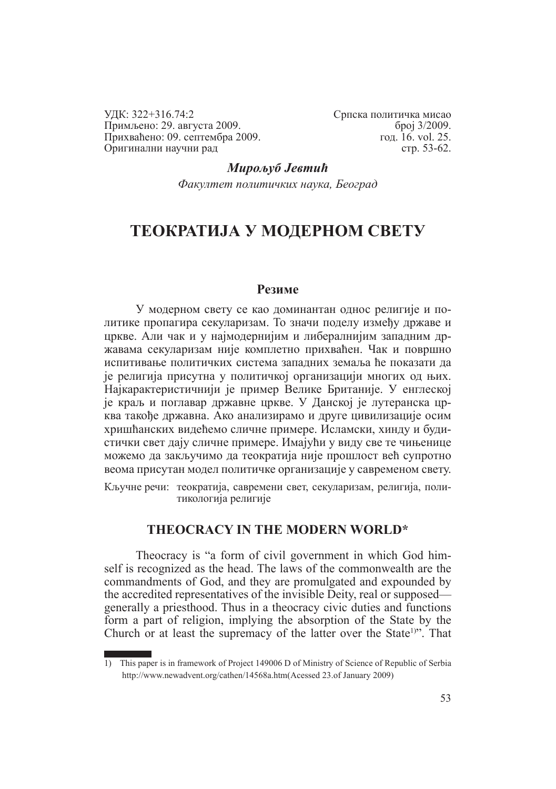УДК: 322+316.74:2 Примљено: 29. августа 2009. Прихваћено: 09. септембра 2009. Оригинални научни рад

Српска политичка мисао број 3/2009. год. 16. vol. 25. стр. 53-62.

*Мирољуб Јевтић Факултет политичких наука, Београд*

# **ТЕОКРАТИЈА У МОДЕРНОМ СВЕТУ**

#### **Резиме**

У модерном свету се као доминантан однос религије и политике пропагира секуларизам. То значи поделу између државе и цркве. Али чак и у најмодернијим и либералнијим западним државама секуларизам није комплетно прихваћен. Чак и површно испитивање политичких система западних земаља ће показати да је религија присутна у политичкој организацији многих од њих. Најкарактеристичнији је пример Велике Британије. У енглеској је краљ и поглавар државне цркве. У Данској је лутеранска црква такође државна. Ако анализирамо и друге цивилизације осим хришћанских видећемо сличне примере. Исламски, хинду и будистички свет дају сличне примере. Имајући у виду све те чињенице можемо да закључимо да теократија није прошлост већ супротно веома присутан модел политичке организације у савременом свету.

Кључне речи: теократија, савремени свет, секуларизам, религија, политикологија религије

# **THEOCRACY IN THE MODERN WORLD\***

Theocracy is "a form of civil government in which God himself is recognized as the head. The laws of the commonwealth are the commandments of God, and they are promulgated and expounded by the accredited representatives of the invisible Deity, real or supposed generally a priesthood. Thus in a theocracy civic duties and functions form a part of religion, implying the absorption of the State by the Church or at least the supremacy of the latter over the State<sup>1)"</sup>. That

<sup>1)</sup> This paper is in framework of Project 149006 D of Ministry of Science of Republic of Serbia http://www.newadvent.org/cathen/14568a.htm(Acessed 23.of January 2009)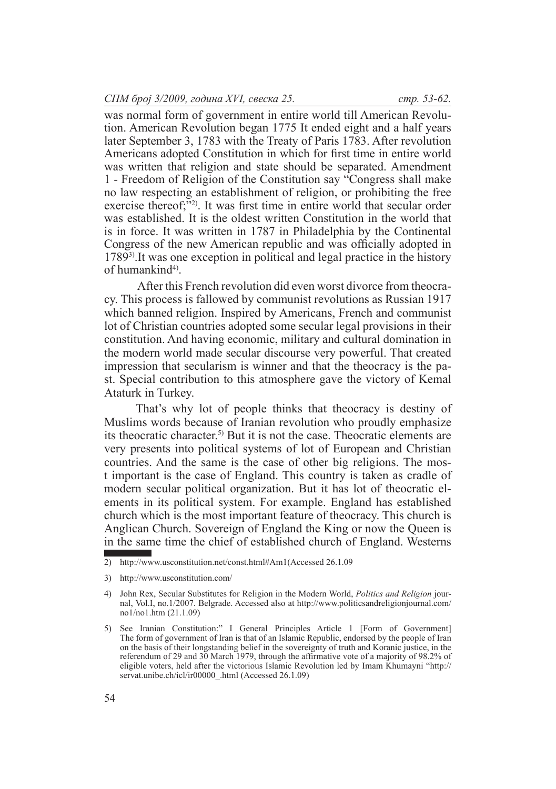was normal form of government in entire world till American Revolution. American Revolution began 1775 It ended eight and a half years later September 3, 1783 with the Treaty of Paris 1783. After revolution Americans adopted Constitution in which for first time in entire world was written that religion and state should be separated. Amendment 1 - Freedom of Religion of the Constitution say "Congress shall make no law respecting an establishment of religion, or prohibiting the free exercise thereof;<sup>"22</sup>). It was first time in entire world that secular order was established. It is the oldest written Constitution in the world that is in force. It was written in 1787 in Philadelphia by the Continental Congress of the new American republic and was officially adopted in 17893).It was one exception in political and legal practice in the history of humankind<sup>4)</sup>.

 After this French revolution did even worst divorce from theocracy. This process is fallowed by communist revolutions as Russian 1917 which banned religion. Inspired by Americans, French and communist lot of Christian countries adopted some secular legal provisions in their constitution. And having economic, military and cultural domination in the modern world made secular discourse very powerful. That created impression that secularism is winner and that the theocracy is the past. Special contribution to this atmosphere gave the victory of Kemal Ataturk in Turkey.

That's why lot of people thinks that theocracy is destiny of Muslims words because of Iranian revolution who proudly emphasize its theocratic character.5) But it is not the case. Theocratic elements are very presents into political systems of lot of European and Christian countries. And the same is the case of other big religions. The most important is the case of England. This country is taken as cradle of modern secular political organization. But it has lot of theocratic elements in its political system. For example. England has established church which is the most important feature of theocracy. This church is Anglican Church. Sovereign of England the King or now the Queen is in the same time the chief of established church of England. Westerns

<sup>2)</sup> http://www.usconstitution.net/const.html#Am1(Accessed 26.1.09

<sup>3)</sup> http://www.usconstitution.com/

<sup>4)</sup> John Rex, Secular Substitutes for Religion in the Modern World, *Politics and Religion* journal, Vol.I, no.1/2007. Belgrade. Accessed also at http://www.politicsandreligionjournal.com/ no1/no1.htm (21.1.09)

<sup>5)</sup> See Iranian Constitution:" I General Principles Article 1 [Form of Government] The form of government of Iran is that of an Islamic Republic, endorsed by the people of Iran on the basis of their longstanding belief in the sovereignty of truth and Koranic justice, in the referendum of 29 and 30 March 1979, through the affirmative vote of a majority of 98.2% of eligible voters, held after the victorious Islamic Revolution led by Imam Khumayni "http:// servat.unibe.ch/icl/ir00000\_.html (Accessed 26.1.09)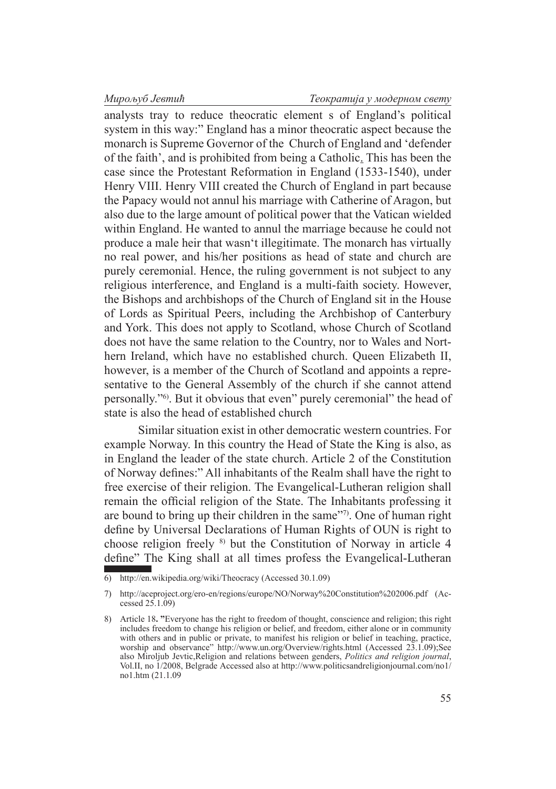analysts tray to reduce theocratic element s of England's political system in this way:" England has a minor theocratic aspect because the monarch is Supreme Governor of the Church of England and 'defender of the faith', and is prohibited from being a Catholic. This has been the case since the Protestant Reformation in England (1533-1540), under Henry VIII. Henry VIII created the Church of England in part because the Papacy would not annul his marriage with Catherine of Aragon, but also due to the large amount of political power that the Vatican wielded within England. He wanted to annul the marriage because he could not produce a male heir that wasn't illegitimate. The monarch has virtually no real power, and his/her positions as head of state and church are purely ceremonial. Hence, the ruling government is not subject to any religious interference, and England is a multi-faith society. However, the Bishops and archbishops of the Church of England sit in the House of Lords as Spiritual Peers, including the Archbishop of Canterbury and York. This does not apply to Scotland, whose Church of Scotland does not have the same relation to the Country, nor to Wales and Northern Ireland, which have no established church. Queen Elizabeth II, however, is a member of the Church of Scotland and appoints a representative to the General Assembly of the church if she cannot attend personally."6). But it obvious that even" purely ceremonial" the head of state is also the head of established church

 Similar situation exist in other democratic western countries. For example Norway. In this country the Head of State the King is also, as in England the leader of the state church. Article 2 of the Constitution of Norway defines:" All inhabitants of the Realm shall have the right to free exercise of their religion. The Evangelical-Lutheran religion shall remain the official religion of the State. The Inhabitants professing it are bound to bring up their children in the same"7). One of human right define by Universal Declarations of Human Rights of OUN is right to choose religion freely 8) but the Constitution of Norway in article 4 define" The King shall at all times profess the Evangelical-Lutheran

<sup>6)</sup> http://en.wikipedia.org/wiki/Theocracy (Accessed 30.1.09)

<sup>7)</sup> http://aceproject.org/ero-en/regions/europe/NO/Norway%20Constitution%202006.pdf (Accessed 25.1.09)

<sup>8)</sup> Article 18**. "**Everyone has the right to freedom of thought, conscience and religion; this right includes freedom to change his religion or belief, and freedom, either alone or in community with others and in public or private, to manifest his religion or belief in teaching, practice, worship and observance" http://www.un.org/Overview/rights.html (Accessed 23.1.09);See also Miroljub Jevtic,Religion and relations between genders, *Politics and religion journal*, Vol.II, no 1/2008, Belgrade Accessed also at http://www.politicsandreligionjournal.com/no1/ no1.htm (21.1.09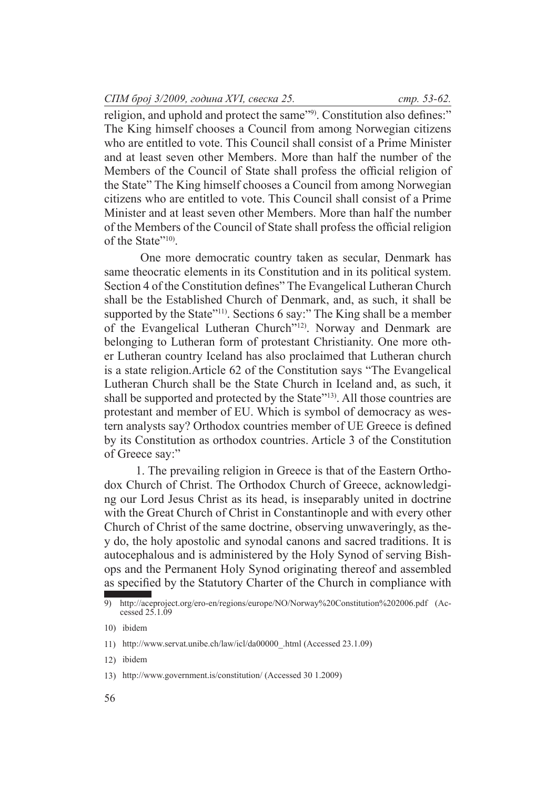religion, and uphold and protect the same"9). Constitution also defines:" The King himself chooses a Council from among Norwegian citizens who are entitled to vote. This Council shall consist of a Prime Minister and at least seven other Members. More than half the number of the Members of the Council of State shall profess the official religion of the State" The King himself chooses a Council from among Norwegian citizens who are entitled to vote. This Council shall consist of a Prime Minister and at least seven other Members. More than half the number of the Members of the Council of State shall profess the official religion of the State"10).

 One more democratic country taken as secular, Denmark has same theocratic elements in its Constitution and in its political system. Section 4 of the Constitution defines" The Evangelical Lutheran Church shall be the Established Church of Denmark, and, as such, it shall be supported by the State"<sup>11)</sup>. Sections 6 say:" The King shall be a member of the Evangelical Lutheran Church"12). Norway and Denmark are belonging to Lutheran form of protestant Christianity. One more other Lutheran country Iceland has also proclaimed that Lutheran church is a state religion.Article 62 of the Constitution says "The Evangelical Lutheran Church shall be the State Church in Iceland and, as such, it shall be supported and protected by the State"<sup>13)</sup>. All those countries are protestant and member of EU. Which is symbol of democracy as western analysts say? Orthodox countries member of UE Greece is defined by its Constitution as orthodox countries. Article 3 of the Constitution of Greece say:"

1. The prevailing religion in Greece is that of the Eastern Orthodox Church of Christ. The Orthodox Church of Greece, acknowledging our Lord Jesus Christ as its head, is inseparably united in doctrine with the Great Church of Christ in Constantinople and with every other Church of Christ of the same doctrine, observing unwaveringly, as they do, the holy apostolic and synodal canons and sacred traditions. It is autocephalous and is administered by the Holy Synod of serving Bishops and the Permanent Holy Synod originating thereof and assembled as specified by the Statutory Charter of the Church in compliance with

<sup>9)</sup> http://aceproject.org/ero-en/regions/europe/NO/Norway%20Constitution%202006.pdf (Accessed 25.1.09

<sup>10)</sup> ibidem

<sup>11)</sup> http://www.servat.unibe.ch/law/icl/da00000\_.html (Accessed 23.1.09)

<sup>12)</sup> ibidem

<sup>13)</sup> http://www.government.is/constitution/ (Accessed 30 1.2009)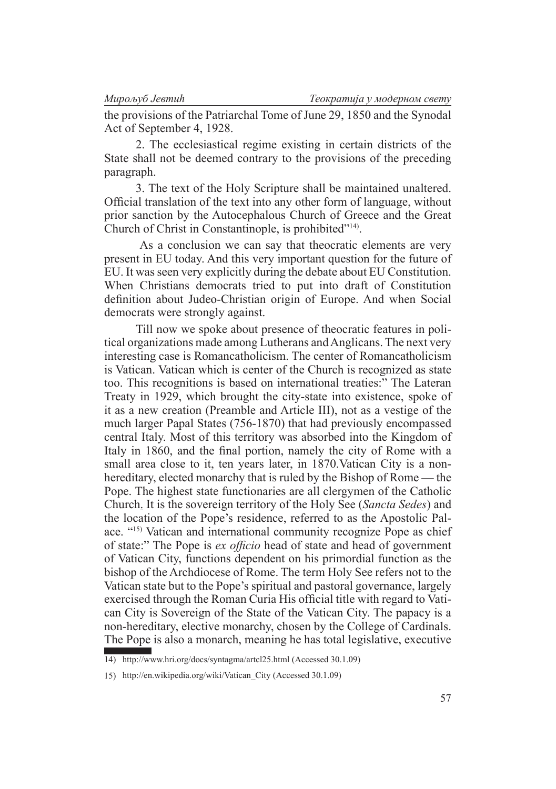the provisions of the Patriarchal Tome of June 29, 1850 and the Synodal Act of September 4, 1928.

2. The ecclesiastical regime existing in certain districts of the State shall not be deemed contrary to the provisions of the preceding paragraph.

3. The text of the Holy Scripture shall be maintained unaltered. Official translation of the text into any other form of language, without prior sanction by the Autocephalous Church of Greece and the Great Church of Christ in Constantinople, is prohibited"14).

 As a conclusion we can say that theocratic elements are very present in EU today. And this very important question for the future of EU. It was seen very explicitly during the debate about EU Constitution. When Christians democrats tried to put into draft of Constitution definition about Judeo-Christian origin of Europe. And when Social democrats were strongly against.

Till now we spoke about presence of theocratic features in political organizations made among Lutherans and Anglicans. The next very interesting case is Romancatholicism. The center of Romancatholicism is Vatican. Vatican which is center of the Church is recognized as state too. This recognitions is based on international treaties:" The Lateran Treaty in 1929, which brought the city-state into existence, spoke of it as a new creation (Preamble and Article III), not as a vestige of the much larger Papal States (756-1870) that had previously encompassed central Italy. Most of this territory was absorbed into the Kingdom of Italy in 1860, and the final portion, namely the city of Rome with a small area close to it, ten years later, in 1870.Vatican City is a nonhereditary, elected monarchy that is ruled by the Bishop of Rome — the Pope. The highest state functionaries are all clergymen of the Catholic Church. It is the sovereign territory of the Holy See (*Sancta Sedes*) and the location of the Pope's residence, referred to as the Apostolic Palace. "15) Vatican and international community recognize Pope as chief of state:" The Pope is *ex officio* head of state and head of government of Vatican City, functions dependent on his primordial function as the bishop of the Archdiocese of Rome. The term Holy See refers not to the Vatican state but to the Pope's spiritual and pastoral governance, largely exercised through the Roman Curia His official title with regard to Vatican City is Sovereign of the State of the Vatican City. The papacy is a non-hereditary, elective monarchy, chosen by the College of Cardinals. The Pope is also a monarch, meaning he has total legislative, executive

<sup>14)</sup> http://www.hri.org/docs/syntagma/artcl25.html (Accessed 30.1.09)

<sup>15)</sup> http://en.wikipedia.org/wiki/Vatican\_City (Accessed 30.1.09)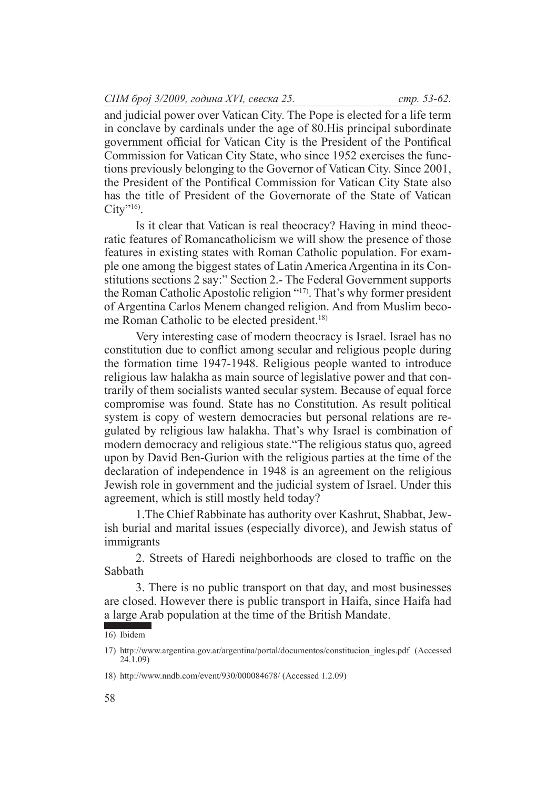and judicial power over Vatican City. The Pope is elected for a life term in conclave by cardinals under the age of 80.His principal subordinate government official for Vatican City is the President of the Pontifical Commission for Vatican City State, who since 1952 exercises the functions previously belonging to the Governor of Vatican City. Since 2001, the President of the Pontifical Commission for Vatican City State also has the title of President of the Governorate of the State of Vatican  $City$ "<sup>16</sup>).

Is it clear that Vatican is real theocracy? Having in mind theocratic features of Romancatholicism we will show the presence of those features in existing states with Roman Catholic population. For example one among the biggest states of Latin America Argentina in its Constitutions sections 2 say:" Section 2.- The Federal Government supports the Roman Catholic Apostolic religion "17). That's why former president of Argentina Carlos Menem changed religion. And from Muslim become Roman Catholic to be elected president.<sup>18)</sup>

Very interesting case of modern theocracy is Israel. Israel has no constitution due to conflict among secular and religious people during the formation time 1947-1948. Religious people wanted to introduce religious law halakha as main source of legislative power and that contrarily of them socialists wanted secular system. Because of equal force compromise was found. State has no Constitution. As result political system is copy of western democracies but personal relations are regulated by religious law halakha. That's why Israel is combination of modern democracy and religious state."The religious status quo, agreed upon by David Ben-Gurion with the religious parties at the time of the declaration of independence in 1948 is an agreement on the religious Jewish role in government and the judicial system of Israel. Under this agreement, which is still mostly held today?

1.The Chief Rabbinate has authority over Kashrut, Shabbat, Jewish burial and marital issues (especially divorce), and Jewish status of immigrants

2. Streets of Haredi neighborhoods are closed to traffic on the Sabbath

3. There is no public transport on that day, and most businesses are closed. However there is public transport in Haifa, since Haifa had a large Arab population at the time of the British Mandate.

<sup>16)</sup> Ibidem

<sup>17)</sup> http://www.argentina.gov.ar/argentina/portal/documentos/constitucion\_ingles.pdf (Accessed 24.1.09)

<sup>18)</sup> http://www.nndb.com/event/930/000084678/ (Accessed 1.2.09)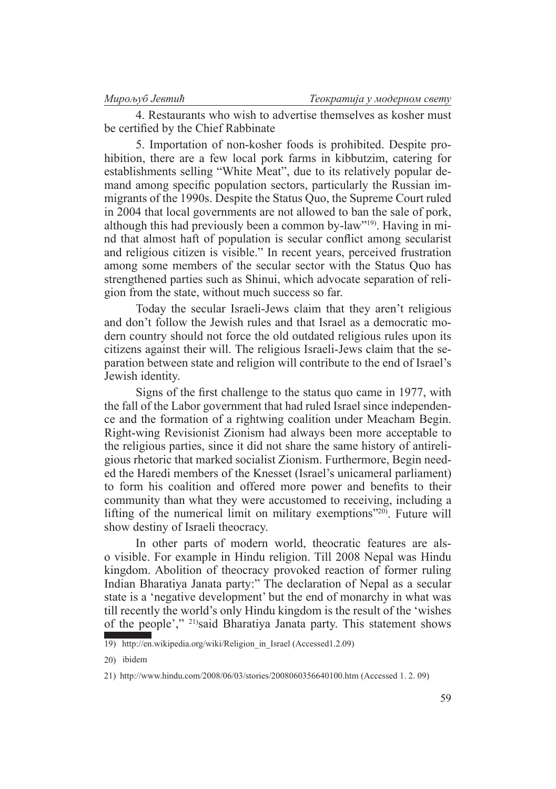4. Restaurants who wish to advertise themselves as kosher must be certified by the Chief Rabbinate

5. Importation of non-kosher foods is prohibited. Despite prohibition, there are a few local pork farms in kibbutzim, catering for establishments selling "White Meat", due to its relatively popular demand among specific population sectors, particularly the Russian immigrants of the 1990s. Despite the Status Quo, the Supreme Court ruled in 2004 that local governments are not allowed to ban the sale of pork, although this had previously been a common by-law"19). Having in mind that almost haft of population is secular conflict among secularist and religious citizen is visible." In recent years, perceived frustration among some members of the secular sector with the Status Quo has strengthened parties such as Shinui, which advocate separation of religion from the state, without much success so far.

Today the secular Israeli-Jews claim that they aren't religious and don't follow the Jewish rules and that Israel as a democratic modern country should not force the old outdated religious rules upon its citizens against their will. The religious Israeli-Jews claim that the separation between state and religion will contribute to the end of Israel's Jewish identity.

Signs of the first challenge to the status quo came in 1977, with the fall of the Labor government that had ruled Israel since independence and the formation of a rightwing coalition under Meacham Begin. Right-wing Revisionist Zionism had always been more acceptable to the religious parties, since it did not share the same history of antireligious rhetoric that marked socialist Zionism. Furthermore, Begin needed the Haredi members of the Knesset (Israel's unicameral parliament) to form his coalition and offered more power and benefits to their community than what they were accustomed to receiving, including a lifting of the numerical limit on military exemptions"20). Future will show destiny of Israeli theocracy.

In other parts of modern world, theocratic features are also visible. For example in Hindu religion. Till 2008 Nepal was Hindu kingdom. Abolition of theocracy provoked reaction of former ruling Indian Bharatiya Janata party:" The declaration of Nepal as a secular state is a 'negative development' but the end of monarchy in what was till recently the world's only Hindu kingdom is the result of the 'wishes of the people'," 21)said Bharatiya Janata party. This statement shows

<sup>19)</sup> http://en.wikipedia.org/wiki/Religion in Israel (Accessed1.2.09)

<sup>20)</sup> ibidem

<sup>21)</sup> http://www.hindu.com/2008/06/03/stories/2008060356640100.htm (Accessed 1. 2. 09)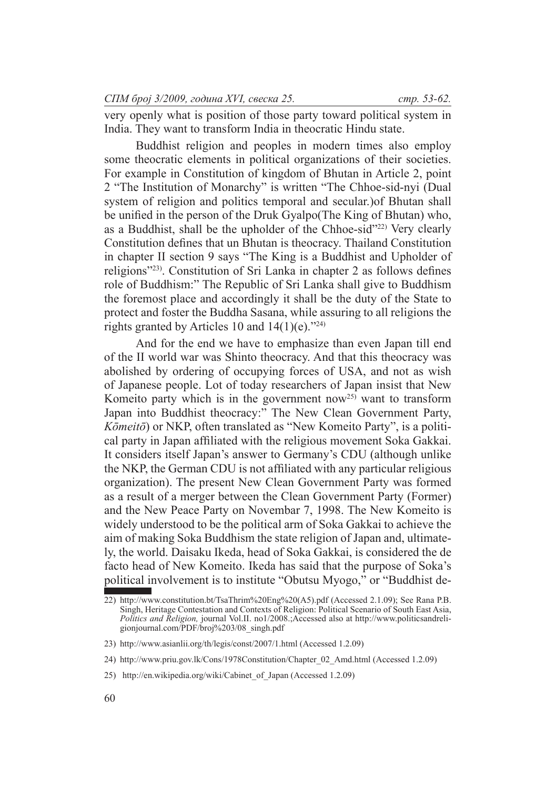very openly what is position of those party toward political system in India. They want to transform India in theocratic Hindu state.

Buddhist religion and peoples in modern times also employ some theocratic elements in political organizations of their societies. For example in Constitution of kingdom of Bhutan in Article 2, point 2 "The Institution of Monarchy" is written "The Chhoe-sid-nyi (Dual system of religion and politics temporal and secular.)of Bhutan shall be unified in the person of the Druk Gyalpo(The King of Bhutan) who, as a Buddhist, shall be the upholder of the Chhoe-sid<sup>"22)</sup> Very clearly Constitution defines that un Bhutan is theocracy. Thailand Constitution in chapter II section 9 says "The King is a Buddhist and Upholder of religions"23). Constitution of Sri Lanka in chapter 2 as follows defines role of Buddhism:" The Republic of Sri Lanka shall give to Buddhism the foremost place and accordingly it shall be the duty of the State to protect and foster the Buddha Sasana, while assuring to all religions the rights granted by Articles 10 and  $14(1)(e)$ ."<sup>24)</sup>

And for the end we have to emphasize than even Japan till end of the II world war was Shinto theocracy. And that this theocracy was abolished by ordering of occupying forces of USA, and not as wish of Japanese people. Lot of today researchers of Japan insist that New Komeito party which is in the government now<sup>25)</sup> want to transform Japan into Buddhist theocracy:" The New Clean Government Party, *Kōmeitō*) or NKP, often translated as "New Komeito Party", is a political party in Japan affiliated with the religious movement Soka Gakkai. It considers itself Japan's answer to Germany's CDU (although unlike the NKP, the German CDU is not affiliated with any particular religious organization). The present New Clean Government Party was formed as a result of a merger between the Clean Government Party (Former) and the New Peace Party on Novembar 7, 1998. The New Komeito is widely understood to be the political arm of Soka Gakkai to achieve the aim of making Soka Buddhism the state religion of Japan and, ultimately, the world. Daisaku Ikeda, head of Soka Gakkai, is considered the de facto head of New Komeito. Ikeda has said that the purpose of Soka's political involvement is to institute "Obutsu Myogo," or "Buddhist de-

<sup>22)</sup> http://www.constitution.bt/TsaThrim%20Eng%20(A5).pdf (Accessed 2.1.09); See Rana P.B. Singh, Heritage Contestation and Contexts of Religion: Political Scenario of South East Asia, *Politics and Religion,* journal Vol.II. no1/2008.;Accessed also at http://www.politicsandreligionjournal.com/PDF/broj%203/08\_singh.pdf

<sup>23)</sup> http://www.asianlii.org/th/legis/const/2007/1.html (Accessed 1.2.09)

<sup>24)</sup> http://www.priu.gov.lk/Cons/1978Constitution/Chapter\_02\_Amd.html (Accessed 1.2.09)

<sup>25)</sup> http://en.wikipedia.org/wiki/Cabinet\_of\_Japan (Accessed 1.2.09)